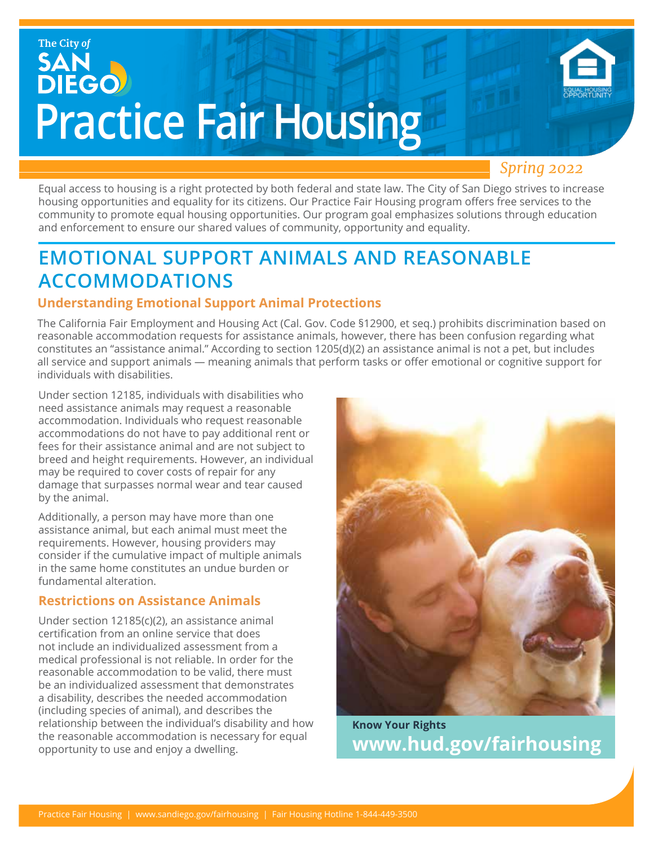# The City of SAN<br>DIEGO **Practice Fair Housing**

### *Spring 2022*

Equal access to housing is a right protected by both federal and state law. The City of San Diego strives to increase housing opportunities and equality for its citizens. Our Practice Fair Housing program offers free services to the community to promote equal housing opportunities. Our program goal emphasizes solutions through education and enforcement to ensure our shared values of community, opportunity and equality.

### **EMOTIONAL SUPPORT ANIMALS AND REASONABLE ACCOMMODATIONS**

### **Understanding Emotional Support Animal Protections**

The California Fair Employment and Housing Act (Cal. Gov. Code §12900, et seq.) prohibits discrimination based on reasonable accommodation requests for assistance animals, however, there has been confusion regarding what constitutes an "assistance animal." According to section 1205(d)(2) an assistance animal is not a pet, but includes all service and support animals — meaning animals that perform tasks or offer emotional or cognitive support for individuals with disabilities.

Under section 12185, individuals with disabilities who need assistance animals may request a reasonable accommodation. Individuals who request reasonable accommodations do not have to pay additional rent or fees for their assistance animal and are not subject to breed and height requirements. However, an individual may be required to cover costs of repair for any damage that surpasses normal wear and tear caused by the animal.

Additionally, a person may have more than one assistance animal, but each animal must meet the requirements. However, housing providers may consider if the cumulative impact of multiple animals in the same home constitutes an undue burden or fundamental alteration.

### **Restrictions on Assistance Animals**

Under section 12185(c)(2), an assistance animal certification from an online service that does not include an individualized assessment from a medical professional is not reliable. In order for the reasonable accommodation to be valid, there must be an individualized assessment that demonstrates a disability, describes the needed accommodation (including species of animal), and describes the relationship between the individual's disability and how the reasonable accommodation is necessary for equal opportunity to use and enjoy a dwelling.



**Know Your Rights www.hud.gov/fairhousing**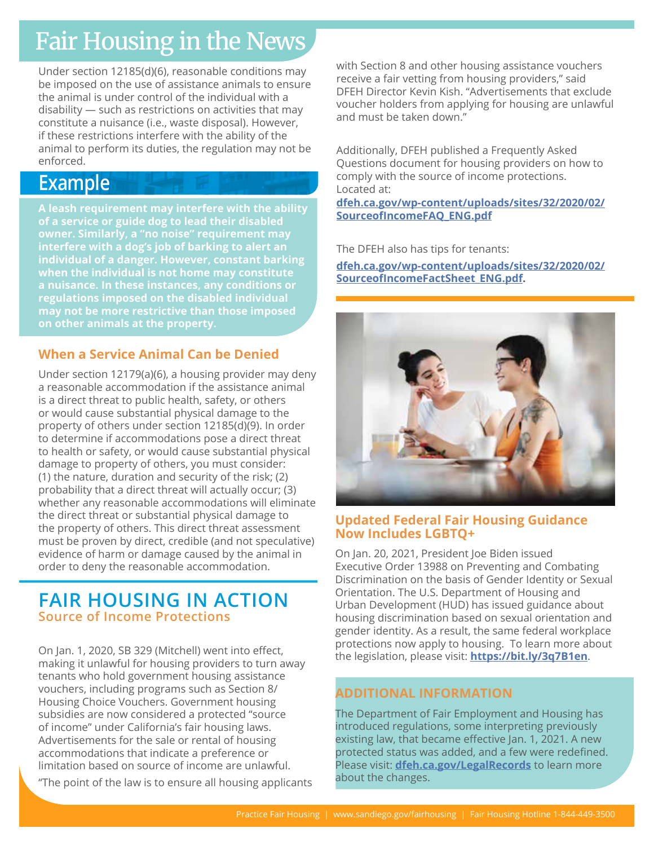## Fair Housing in the News

Under section 12185(d)(6), reasonable conditions may be imposed on the use of assistance animals to ensure the animal is under control of the individual with a disability — such as restrictions on activities that may constitute a nuisance (i.e., waste disposal). However, if these restrictions interfere with the ability of the animal to perform its duties, the regulation may not be enforced.

### **Example**

**A leash requirement may interfere with the ability of a service or guide dog to lead their disabled owner. Similarly, a "no noise" requirement may interfere with a dog's job of barking to alert an individual of a danger. However, constant barking when the individual is not home may constitute a nuisance. In these instances, any conditions or regulations imposed on the disabled individual may not be more restrictive than those imposed on other animals at the property.**

### **When a Service Animal Can be Denied**

Under section 12179(a)(6), a housing provider may deny a reasonable accommodation if the assistance animal is a direct threat to public health, safety, or others or would cause substantial physical damage to the property of others under section 12185(d)(9). In order to determine if accommodations pose a direct threat to health or safety, or would cause substantial physical damage to property of others, you must consider: (1) the nature, duration and security of the risk; (2) probability that a direct threat will actually occur; (3) whether any reasonable accommodations will eliminate the direct threat or substantial physical damage to the property of others. This direct threat assessment must be proven by direct, credible (and not speculative) evidence of harm or damage caused by the animal in order to deny the reasonable accommodation.

### **FAIR HOUSING IN ACTION Source of Income Protections**

On Jan. 1, 2020, SB 329 (Mitchell) went into effect, making it unlawful for housing providers to turn away tenants who hold government housing assistance vouchers, including programs such as Section 8/ Housing Choice Vouchers. Government housing subsidies are now considered a protected "source of income" under California's fair housing laws. Advertisements for the sale or rental of housing accommodations that indicate a preference or limitation based on source of income are unlawful.

"The point of the law is to ensure all housing applicants

with Section 8 and other housing assistance vouchers receive a fair vetting from housing providers," said DFEH Director Kevin Kish. "Advertisements that exclude voucher holders from applying for housing are unlawful and must be taken down."

Additionally, DFEH published a Frequently Asked Questions document for housing providers on how to comply with the source of income protections. Located at:

**[dfeh.ca.gov/wp-content/uploads/sites/32/2020/02/](http://www.dfeh.ca.gov/wp-content/uploads/sites/32/2020/02/SourceofIncomeFAQ_ENG.pdf.   ) [SourceofIncomeFAQ\\_ENG.pdf](http://www.dfeh.ca.gov/wp-content/uploads/sites/32/2020/02/SourceofIncomeFAQ_ENG.pdf.   )**

The DFEH also has tips for tenants:

**[dfeh.ca.gov/wp-content/uploads/sites/32/2020/02/](http://www.dfeh.ca.gov/wp-content/uploads/sites/32/2020/02/SourceofIncomeFactSheet_ENG.pdf.) [SourceofIncomeFactSheet\\_ENG.pdf.](http://www.dfeh.ca.gov/wp-content/uploads/sites/32/2020/02/SourceofIncomeFactSheet_ENG.pdf.)**



### **Updated Federal Fair Housing Guidance Now Includes LGBTQ+**

On Jan. 20, 2021, President Joe Biden issued Executive Order 13988 on Preventing and Combating Discrimination on the basis of Gender Identity or Sexual Orientation. The U.S. Department of Housing and Urban Development (HUD) has issued guidance about housing discrimination based on sexual orientation and gender identity. As a result, the same federal workplace protections now apply to housing. To learn more about the legislation, please visit: **<https://bit.ly/3q7B1en>**.

### **ADDITIONAL INFORMATION**

The Department of Fair Employment and Housing has introduced regulations, some interpreting previously existing law, that became effective Jan. 1, 2021. A new protected status was added, and a few were redefined. Please visit: **[dfeh.ca.gov/LegalRecords](http://dfeh.ca.gov/LegalRecords)** [to learn more](http:// to learn more about the changes)  [about the changes](http:// to learn more about the changes).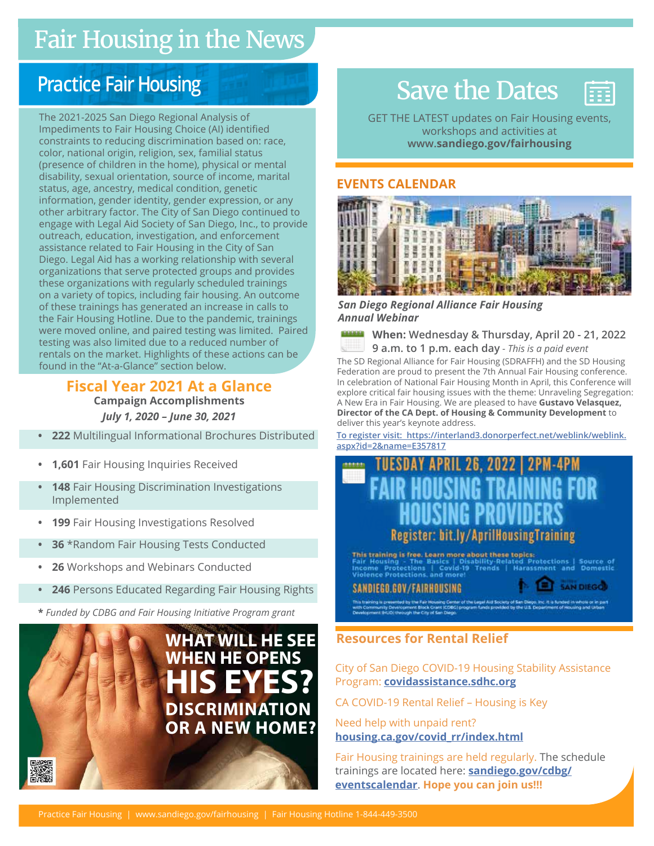### Fair Housing in the News Fair Housing in the News

### **Practice Fair Housing**

The 2021-2025 San Diego Regional Analysis of Impediments to Fair Housing Choice (AI) identified constraints to reducing discrimination based on: race, color, national origin, religion, sex, familial status (presence of children in the home), physical or mental disability, sexual orientation, source of income, marital status, age, ancestry, medical condition, genetic information, gender identity, gender expression, or any other arbitrary factor. The City of San Diego continued to engage with Legal Aid Society of San Diego, Inc., to provide outreach, education, investigation, and enforcement assistance related to Fair Housing in the City of San Diego. Legal Aid has a working relationship with several organizations that serve protected groups and provides these organizations with regularly scheduled trainings on a variety of topics, including fair housing. An outcome of these trainings has generated an increase in calls to the Fair Housing Hotline. Due to the pandemic, trainings were moved online, and paired testing was limited. Paired testing was also limited due to a reduced number of rentals on the market. Highlights of these actions can be found in the "At-a-Glance" section below.

> **Fiscal Year 2021 At a Glance Campaign Accomplishments** *July 1, 2020 – June 30, 2021*

- **• 222** Multilingual Informational Brochures Distributed
- **• 1,601** Fair Housing Inquiries Received
- **• 148** Fair Housing Discrimination Investigations Implemented
- **• 199** Fair Housing Investigations Resolved
- **• 36** \*Random Fair Housing Tests Conducted
- **• 26** Workshops and Webinars Conducted
- **• 246** Persons Educated Regarding Fair Housing Rights
- **\*** *Funded by CDBG and Fair Housing Initiative Program grant*



### Save the Dates

GET THE LATEST updates on Fair Housing events, workshops and activities at **www.sandiego.gov/fairhousing**

m

### **EVENTS CALENDAR**



*San Diego Regional Alliance Fair Housing Annual Webinar* 

**When: Wednesday & Thursday, April 20 - 21, 2022 9 a.m. to 1 p.m. each day** *- This is a paid event*

The SD Regional Alliance for Fair Housing (SDRAFFH) and the SD Housing Federation are proud to present the 7th Annual Fair Housing conference. In celebration of National Fair Housing Month in April, this Conference will explore critical fair housing issues with the theme: Unraveling Segregation: A New Era in Fair Housing. We are pleased to have **Gustavo Velasquez, Director of the CA Dept. of Housing & Community Development** to deliver this year's keynote address.

**To register visi[t: https://interland3.donorperfect.net/weblink/weblink.](   Link to Registration:  https://interland3.donorperfect.net/weblink/weblink.aspx?id=2&name=E357817) [aspx?id=2&name=E357817](   Link to Registration:  https://interland3.donorperfect.net/weblink/weblink.aspx?id=2&name=E357817)**

### RIL 26, 2022 | 2PM-4PM **Fair Housing Drawin** Webinary<br>Webinary Powiata Register: bit.ly/AprilHousingTraining

This training is free. Learn more about these topics ted Protections | Source of<br>Harassment and Domestic Fair Housing - The Basics | Dis<br>Income Protections | Covid-19<br>Violence Protections and more! Trends

**SAN DIEGO** 

SANDIEGO.GOV/FAIRHOUSING

City of San Diego COVID-19 Housing Stability Assistance Program: **[covidassistance.sdhc.org](http://covidassistance.sdhc.org)**

CA COVID-19 Rental Relief – Housing is Key

Need help with unpaid rent? **[housing.ca.gov/covid\\_rr/index.html](http://housing.ca.gov/covid_rr/index.html )**

Fair Housing trainings are held regularly. The schedule trainings are located here: **[sandiego.gov/cdbg/](http://sandiego.gov/cdbg/eventscalendar) [eventscalendar](http://sandiego.gov/cdbg/eventscalendar)**. **Hope you can join us!!!**